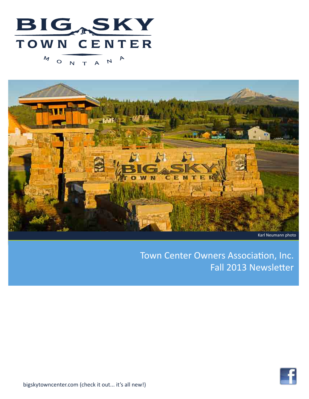



# Town Center Owners Association, Inc. Fall 2013 Newsletter

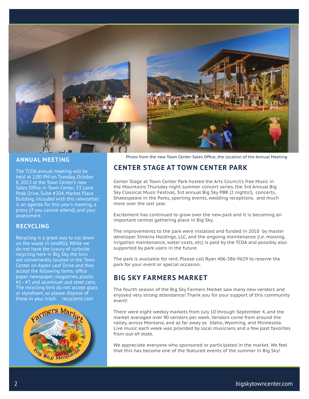

#### **ANNUAL MEETING**

The TCOA annual meeting will be held at 2:00 PM on Tuesday, October 8, 2013 at the Town Center's new Sales Office in Town Center, 33 Lone Peak Drive, Suite #204, Market Place Building. Included with this newsletter is an agenda for this year's meeting, a proxy (if you cannot attend), and your assessment.

#### **RECYCLING**

Recycling is a great way to cut down on the waste in landfills. While we do not have the luxury of curbside recycling here in Big Sky, the bins are conveniently located in the Town Center on Aspen Leaf Drive and they accept the following items: office paper, newspaper, magazines, plastic #1 - #7, and aluminum and steel cans. The recycling bins do not accept glass or styrofoam, so please dispose of these in your trash. recyclemt.com



Photo from the new Town Center Sales Office, the location of the Annual Meeting

### **CENTER STAGE AT TOWN CENTER PARK**

Center Stage at Town Center Park hosted the Arts Council's free Music in the Mountains Thursday night summer concert series, the 3rd Annual Big Sky Classical Music Festival, 3rd annual Big Sky PBR (2 nights!), concerts, Shakespeare in the Parks, sporting events, wedding receptions, and much more over the last year.

Excitement has continued to grow over the new park and it is becoming an important central gathering place in Big Sky.

The improvements to the park were installed and funded in 2010 by master developer Simkins Holdings, LLC, and the ongoing maintenance (i.e. mowing, irrigation maintenance, water costs, etc) is paid by the TCOA and possibly also supported by park users in the future.

The park is available for rent. Please call Ryan 406-586-9629 to reserve the park for your event or special occasion.

### **BIG SKY FARMERS MARKET**

The fourth season of the Big Sky Farmers Market saw many new vendors and enjoyed very strong attendance! Thank you for your support of this community event!

There were eight weekly markets from July 10 through September 4, and the market averaged over 90 vendors per week. Vendors come from around the valley, across Montana, and as far away as Idaho, Wyoming, and Minnesota. Live music each week was provided by local musicians and a few past favorites from out-of-state.

We appreciate everyone who sponsored or participated in the market. We feel that this has become one of the featured events of the summer in Big Sky!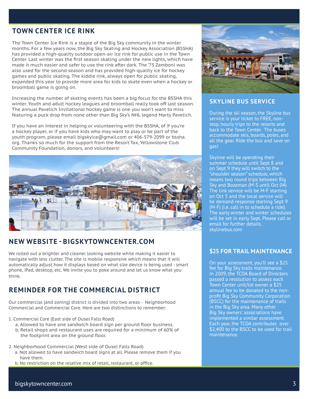# **TOWN CENTER ICE RINK**

The Town Center Ice Rink is a staple of the Big Sky community in the winter months. For a few years now, the Big Sky Skating and Hockey Association (BSSHA) has provided a high-quality outdoor open-air ice rink for public use in the Town Center. Last winter was the first season skating under the new lights, which have made it much easier and safer to use the rink after dark. The '75 Zamboni was also used for the second season and has provided high-quality ice for hockey games and public skating. The kiddie rink, always open for public skating, expanded this year to provide more area for kids to skate even when a hockey or broomball game is going on.

Increasing the number of skating events has been a big focus for the BSSHA this winter. Youth and adult hockey leagues and broomball really took off last season. The annual Pavelich Invitational hockey game is one you won't want to miss featuring a puck drop from none other than Big Sky's NHL legend Marty Pavelich.

If you have an interest in helping or volunteering with the BSSHA, of if you're a hockey player, or if you have kids who may want to play or be part of the youth program, please email bigskyice@gmail.com or 406-579-2099 or bssha. org. Thanks so much for the support from the Resort Tax, Yellowstone Club Community Foundation, donors, and volunteers!



### **NEW WEBSITE - BIGSKYTOWNCENTER.COM**

We rolled out a brighter and cleaner looking website while making it easier to navigate with less clutter. The site is mobile responsive which means that it will automatically adjust how it displays based on what size device is being used - smart phone, iPad, desktop, etc. We invite you to poke around and let us know what you think.

## **REMINDER FOR THE COMMERCIAL DISTRICT**

Our commercial (and zoning) district is divided into two areas - Neighborhood Commercial and Commercial Core. Here are two distinctions to remember:

- 1. Commercial Core (East side of Ousel Falls Road)
	- a. Allowed to have one sandwich board sign per ground floor business.
	- b. Retail shops and restaurant uses are required for a minimum of 60% of the footprint area on the ground floor.
- 2. Neighborhood Commercial (West side of Ousel Falls Road)
	- a. Not allowed to have sandwich board signs at all. Please remove them if you have them.
	- b. No restriction on the relative mix of retail, restaurant, or office.



#### **SKYLINE BUS SERVICE**

During the ski season, the Skyline bus service is your ticket to FREE, nonstop, hourly trips to the resorts and back to the Town Center. The buses accommodate skis, boards, poles, and all the gear. Ride the bus and save on gas!

Skyline will be operating their summer schedule until Sept 8 and on Sept 9 they will switch to the "shoulder season" schedule, which means two round trips between Big Sky and Bozeman (M-S until Oct 04) The link service will be M-F starting on Oct 5 and the local service will be demand-response starting Sept 9 (M-F) (i.e. call in to schedule a ride). The early winter and winter schedules will be set in early Sept. Please call or email for further details. skylinebus.com

#### **\$25 FOR TRAIL MAINTENANCE**

On your assessment, you'll see a \$25 fee for Big Sky trails maintenance. In 2009, the TCOA Board of Directors passed a resolution to assess each Town Center unit/lot owner a \$25 annual fee to be donated to the nonprofit Big Sky Community Corporation (BSCC) for the maintenance of trails in the Big Sky area. Many other Big Sky owners' associations have implemented a similar assessment. Each year, the TCOA contributes over \$2,400 to the BSCC to be used for trail maintenance.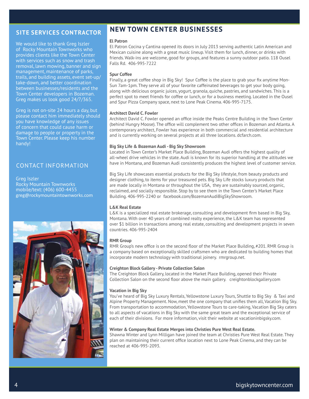### **SITE SERVICES CONTRACTOR**

We would like to thank Greg Iszler of Rocky Mountain Townworks who provides clients like the Town Center with services such as snow and trash removal, lawn mowing, banner and sign management, maintenance of parks, trails, and building assets, event set-up/ take-down, and better coordination between businesses/residents and the Town Center developers in Bozeman. Greg makes us look good 24/7/365.

Greg is not on-site 24 hours a day, but please contact him immediately should you have knowledge of any issues of concern that could cause harm or damage to people or property in the Town Center. Please keep his number handy!

### CONTACT INFORMATION

Greg Iszler Rocky Mountain Townworks mobile/text: (406) 600-4455 greg@rockymountaintownworks.com



### **NEW TOWN CENTER BUSINESSES**

#### **El Patron**

El Patron Cocina y Cantina opened its doors in July 2013 serving authentic Latin American and Mexican cuisine along with a great music lineup. Visit them for lunch, dinner, or drinks with friends. Walk-ins are welcome, good for groups, and features a sunny outdoor patio. 118 Ousel Falls Rd. 406-995-7222

#### **Spur Coffee**

Finally, a great coffee shop in Big Sky! Spur Coffee is the place to grab your fix anytime Mon-Sun 7am-1pm. They serve all of your favorite caffeinated beverages to get your body going, along with delicious organic juices, yogurt, granola, quiche, pastries, and sandwiches. This is a perfect spot to meet friends for coffee or lunch, or for a business meeting. Located in the Ousel and Spur Pizza Company space, next to Lone Peak Cinema. 406-995-7175.

#### **Architect David C. Fowler**

Architect David C. Fowler opened an office inside the Peaks Centre Building in the Town Center (behind Hungry Moose). The office will complement two other offices in Bozeman and Atlanta. A contemporary architect, Fowler has experience in both commercial and residential architecture and is currently working on several projects at all three locations. dcfarch.com.

#### **Big Sky Life & Bozeman Audi - Big Sky Showroom**

Located in Town Center's Market Place Building, Bozeman Audi offers the highest quality of all-wheel drive vehicles in the state. Audi is known for its superior handling at the altitudes we have in Montana, and Bozeman Audi consistently produces the highest level of customer service.

Big Sky Life showcases essential products for the Big Sky lifestyle, from beauty products and designer clothing, to items for your treasured pets. Big Sky Life stocks luxury products that are made locally in Montana or throughout the USA, they are sustainably sourced, organic, reclaimed, and socially responsible. Stop by to see them in the Town Center's Market Place Building. 406-995-2240 or facebook.com/BozemanAudiBigSkyShowroom.

#### **L&K Real Estate**

L&K is a specialized real estate brokerage, consulting and development firm based in Big Sky, Montana. With over 40 years of combined realty experience, the L&K team has represented over \$1 billion in transactions among real estate, consulting and development projects in seven countries. 406-995-2404

#### **RMR Group**

RMR Group's new office is on the second floor of the Market Place Building, #201. RMR Group is a company based on exceptionally skilled craftsmen who are dedicated to building homes that incorporate modern technology with traditional joinery. rmrgroup.net.

#### **Creighton Block Gallery - Private Collection Salon**

The Creighton Block Gallery, located in the Market Place Building, opened their Private Collection Salon on the second floor above the main gallery. creightonblockgallery.com

#### **Vacation in Big Sky**

You've heard of Big Sky Luxury Rentals, Yellowstone Luxury Tours, Shuttle to Big Sky & Taxi and Alpine Property Management. Now, meet the one company that unifies them all, Vacation Big Sky. From transportation to accommodation, Yellowstone Tours to care-taking, Vacation Big Sky caters to all aspects of vacations in Big Sky with the same great team and the exceptional service of each of their divisions. For more information, visit their website at vacationinbigsky.com.

#### **Winter & Company Real Estate Merges into Christies Pure West Real Estate.**

Shawna Winter and Lynn Milligan have joined the team at Christies Pure West Real Estate. They plan on maintaining their current office location next to Lone Peak Cinema, and they can be reached at 406-995-2093.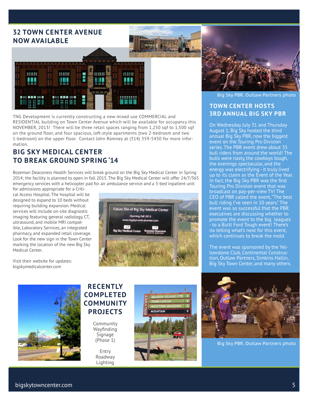# **32 TOWN CENTER AVENUE NOW AVAILABLE**



TNG Development is currently constructing a new mixed use COMMERCIAL and RESIDENTIAL building on Town Center Avenue which will be available for occupancy this NOVEMBER, 2013! There will be three retail spaces ranging from 1,250 sqf to 1,500 sqf on the ground floor, and four spacious, loft-style apartments (two 2-bedroom and two 1-bedroom) on the upper floor. Contact John Romney at (314) 359-5450 for more information.

## **BIG SKY MEDICAL CENTER TO BREAK GROUND SPRING '14**

Bozeman Deaconess Health Services will break ground on the Big Sky Medical Center in Spring 2014; the facility is planned to open in fall 2015. The Big Sky Medical Center will offer 24/7/365 emergency services with a helicopter pad for air ambulance service and a 5-bed inpatient unit

for admissions appropriate for a Critical Access Hospital. The hospital will be designed to expand to 10 beds without requiring building expansion. Medical services will include on-site diagnostic imaging featuring general radiology, CT, ultrasound, and mobile MRI compatible, Laboratory Services, an integrated pharmacy, and expanded retail coverage. Look for the new sign in the Town Center marking the location of the new Big Sky Medical Center.

Visit their website for updates: bigskymedicalcenter.com





Big Sky PBR. Outlaw Partners photo

#### **TOWN CENTER HOSTS 3RD ANNUAL BIG SKY PBR**

On Wednesday July 31 and Thursday August 1, Big Sky hosted the third annual Big Sky PBR, now the biggest event on the Touring Pro Division series. The PBR event drew about 35 bull riders from around the world! The bulls were nasty, the cowboys tough, the evenings spectacular, and the energy was electrifying - it truly lived up to its claim as the Event of the Year. In fact, the Big Sky PBR was the first Touring Pro Division event that was broadcast on pay-per-view TV! The CEO of PBR called the event, "The best bull riding I've seen in 10 years." The event was so successful that the PBR executives are discussing whether to promote the event to the big leagues - to a Built Ford Tough event! There's no telling what's next for this event, which continues to break the mold.

The event was sponsored by the Yellowstone Club, Continental Construction, Outlaw Partners, Simkins Hallin, Big Sky Town Center, and many others.



### **RECENTLY COMPLETED COMMUNITY PROJECTS**

Community Wayfinding Signage (Phase 1)

Entry Roadway Lighting





Big Sky PBR. Outlaw Partners photo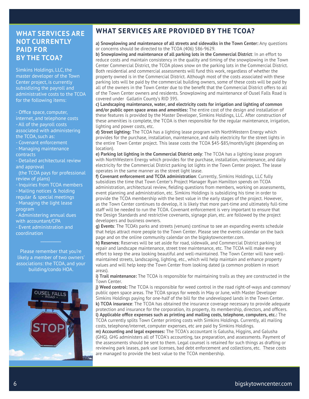### **WHAT SERVICES ARE NOT CURRENTLY PAID FOR BY THE TCOA?**

Simkins Holdings, LLC, the master developer of the Town Center project, is currently subsidizing the payroll and administrative costs to the TCOA for the following items:

- Office space, computer, internet, and telephone costs - All of the payroll costs associated with administering the TCOA, such as:

- Covenant enforcement

- Managing maintenance contracts

- Detailed architectural review and approval

 (the TCOA pays for professional review of plans)

- Inquiries from TCOA members - Mailing notices & holding

regular & special meetings

- Managing the light lease program

- Administering annual dues with accountant/CPA

- Event administration and coordination

Please remember that you're likely a member of two owners' associations: the TCOA, and your building/condo HOA.

 $\mathcal{L}_\text{max}$ 



# **WHAT SERVICES ARE PROVIDED BY THE TCOA?**

**a) Snowplowing and maintenance of all streets and sidewalks in the Town Center:** Any questions or concerns should be directed to the TCOA (406) 586-9629.

**b) Snowplowing and maintenance of all parking lots in the Commercial District**: In an effort to reduce costs and maintain consistency in the quality and timing of the snowplowing in the Town Center Commercial District, the TCOA plows snow on the parking lots in the Commercial District. Both residential and commercial assessments will fund this work, regardless of whether the property owned is in the Commercial District. Although most of the costs associated with these parking lots will be paid by the commercial building owners, some of these costs will be paid by all of the owners in the Town Center due to the benefit that the Commercial District offers to all of the Town Center owners and residents. Snowplowing and maintenance of Ousel Falls Road is covered under Gallatin County's RID 395.

**c) Landscaping maintenance, water, and electricity costs for irrigation and lighting of common and/or public open space areas and amenities:** The entire cost of the design and installation of these features is provided by the Master Developer, Simkins Holdings, LLC. After construction of these amenities is complete, the TCOA is then responsible for the regular maintenance, irrigation, lighting and power costs, etc.

**d) Street lighting:** The TCOA has a lighting lease program with NorthWestern Energy which provides for the purchase, installation, maintenance, and daily electricity for the street lights in the entire Town Center project. This lease costs the TCOA \$45-\$85/month/light (depending on location).

**e) Parking lot lighting in the Commercial District only**: The TCOA has a lighting lease program with NorthWestern Energy which provides for the purchase, installation, maintenance, and daily electricity for the Commercial District parking lot lights in the Town Center project. The lease operates in the same manner as the street light lease.

**f) Covenant enforcement and TCOA administration**: Currently, Simkins Holdings, LLC fully subsidizes the time that Town Center's Project Manager Ryan Hamilton spends on TCOA administration, architectural review, fielding questions from members, working on assessments, event planning and administration, etc. Simkins Holdings is subsidizing his time in order to provide the TCOA membership with the best value in the early stages of the project. However, as the Town Center continues to develop, it is likely that more part-time and ultimately full-time staff will be needed to run the TCOA. Covenant enforcement is very important to ensure that the Design Standards and restrictive covenants, signage plan, etc. are followed by the project developers and business owners.

**g) Events**: The TCOA's parks and streets (venues) continue to see an expanding events schedule that helps attract more people to the Town Center. Please see the events calendar on the back page and on the online community calendar on the bigskytowncenter.com.

**h) Reserves**: Reserves will be set aside for road, sidewalk, and Commercial District parking lot repair and landscape maintenance, street tree maintenance, etc. The TCOA will make every effort to keep the area looking beautiful and well-maintained. The Town Center will have wellmaintained streets, landscaping, lighting, etc., which will help maintain and enhance property values and will help keep the Town Center from looking dated (a common problem in resort areas).

**i) Trail maintenance:** The TCOA is responsible for maintaining trails as they are constructed in the Town Center.

**j) Weed control:** The TCOA is responsible for weed control in the road right-of-ways and common/ public open space areas. The TCOA sprays for weeds in May or June, with Master Developer Simkins Holdings paying for one-half of the bill for the undeveloped lands in the Town Center. **k) TCOA insurance**: The TCOA has obtained the insurance coverage necessary to provide adequate protection and insurance for the corporation, its property, its membership, directors, and officers. **l) Applicable office expenses such as printing and mailing costs, telephone, computers, etc.:** The TCOA currently splits Town Center printing costs with Simkins Holdings. Currently, all mailing costs, telephone/internet, computer expenses, etc are paid by Simkins Holdings.

**m) Accounting and legal expenses:** The TCOA's accountant is Galusha, Higgins, and Galusha (GHG). GHG administers all of TCOA's accounting, tax preparation, and assessments. Payment of the assessments should be sent to them. Legal counsel is retained for such things as drafting or reviewing park leases, park use licenses, bad debt enforcement and collections, etc. These costs are managed to provide the best value to the TCOA membership.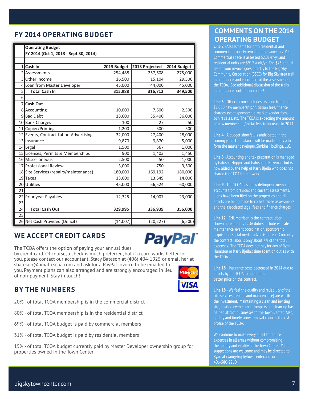bigskytowncenter.com 7

# **FY 2014 OPERATING BUDGET**

|    | <b>Operating Budget</b><br>FY 2014 (Oct 1, 2013 - Sept 30, 2014) |             |                |             |
|----|------------------------------------------------------------------|-------------|----------------|-------------|
|    |                                                                  |             |                |             |
| 1  | Cash In                                                          | 2013 Budget | 2013 Projected | 2014 Budget |
| 2  | Assessments                                                      | 254,488     | 257,608        | 275,000     |
| 3  | Other Income                                                     | 16,500      | 15,104         | 29,500      |
| 4  | Loan from Master Developer                                       | 45,000      | 44,000         | 45,000      |
| 5  | <b>Total Cash In</b>                                             | 315,988     | 316,712        | 349,500     |
| 6  |                                                                  |             |                |             |
|    | <b>Cash Out</b>                                                  |             |                |             |
|    | 8 Accounting                                                     | 10,000      | 7,600          | 2,500       |
|    | 9Bad Debt                                                        | 18,600      | 35,400         | 36,000      |
|    | 10 Bank Charges                                                  | 100         | 27             | 50          |
|    | 11 Copier/Printing                                               | 1,200       | 500            | 500         |
|    | 12 Events, Contract Labor, Advertising                           | 32,000      | 27,400         | 28,000      |
|    | 13 Insurance                                                     | 9,870       | 9,870          | 5,000       |
|    | 14 Legal                                                         | 1,500       | 567            | 1,000       |
|    | 15 Licenses, Permits & Memberships                               | 900         | 1,403          | 1,450       |
|    | 16 Miscellaneous                                                 | 2,500       | 50             | 1,000       |
|    | 17 Professional Review                                           | 3,000       | 750            | 3,500       |
|    | 18 Site Services (repairs/maintenance)                           | 180,000     | 169,192        | 180,000     |
|    | 19 Taxes                                                         | 13,000      | 13,649         | 14,000      |
|    | 20 Utilities                                                     | 45,000      | 56,524         | 60,000      |
| 21 |                                                                  |             |                |             |
| 22 | Prior year Payables                                              | 12,325      | 14,007         | 23,000      |
| 23 |                                                                  |             |                |             |
| 24 | <b>Total Cash Out</b>                                            | 329,995     | 336,939        | 356,000     |
| 25 |                                                                  |             |                |             |
|    | 26 Net Cash Provided (Deficit)                                   | (14,007)    | (20, 227)      | (6,500)     |

# **WE ACCEPT CREDIT CARDS**

The TCOA offers the option of paying your annual dues by credit card. Of course, a check is much preferred, but if a card works better for you, please contact our accountant, Stacy Bateson at (406) 404-1925 or email her at sbateson@amaticscpa.com and ask for a PayPal invoice to be emailed to you. Payment plans can also arranged and are strongly encouraged in lieu of non-payment. Stay in touch!

## **BY THE NUMBERS**

20% - of total TCOA membership is in the commercial district

80% - of total TCOA membership is in the residential district

69% - of total TCOA budget is paid by commercial members

31% - of total TCOA budget is paid by residential members

15% - of total TCOA budget currently paid by Master Developer ownership group for properties owned in the Town Center

# **COMMENTS ON THE 2014 OPERATING BUDGET**

**Line 2** - Assessments for both residential and commercial property remained the same in 2014. Commercial space is assessed \$2.08/sf/yr, and residential units are \$912 /unit/yr. The \$25 annual fee on your invoice goes directly to the Big Sky Community Corporation (BSCC) for Big Sky area trail maintenance, and is not part of the assessments for the TCOA. See additional discussion of the trails maintenance contribution on p.3.

**Line 3** - Other income includes revenue from the \$1,000 new membership/initiation fees, finance charges, event sponsorship, market vendor fees, t-shirt sales, etc. The TCOA is expecting the amount of new membership/initial fees to increase in 2014.

**Line 4** - A budget shortfall is anticipated in the coming year. The balance will be made up by a loan form the master developer, Simkins Holdings, LLC.

**Line 8** - Accounting and tax preparation is managed by Galusha Higgins and Galusha in Bozeman, but is now aided by the help of Karly Bjella who does not charge the TCOA for her work.

**Line 9** - The TCOA has a few delinquent member accounts from previous and current assessments. Liens have been filed on the properties and all efforts are being made to collect these assessments and the associated legal fees and finance charges.

**Line 12** - Erik Morrison is the contract labor shown here and his TCOA duties include website maintenance, event coordination, sponsorship acquisition, social media, advertising, etc. Currently the contract labor is only about 7% of the total expenses. The TCOA does not pay for any of Ryan Hamilton or Karly Bjella's time spent on duties with the TCOA.

**Line 13** - Insurance costs decreased in 2014 due to efforts by the TCOA to negotiate a better price on the contract.

**Line 18** - We feel the quality and reliability of the site services (repairs and maintenance) are worth the investment. Maintaining a clean and inviting site, hosting events, and prompt event clean-up has helped attract businesses to the Town Center. Also, quality and timely snow removal reduces the risk profile of the TCOA.

We continue to make every effort to reduce expenses in all areas without compromising the quality and vitality of the Town Center. Your suggestions are welcome and may be directed to Ryan at ryan@bigskytowncenter.com or 406-580-2260.



**PayPal**